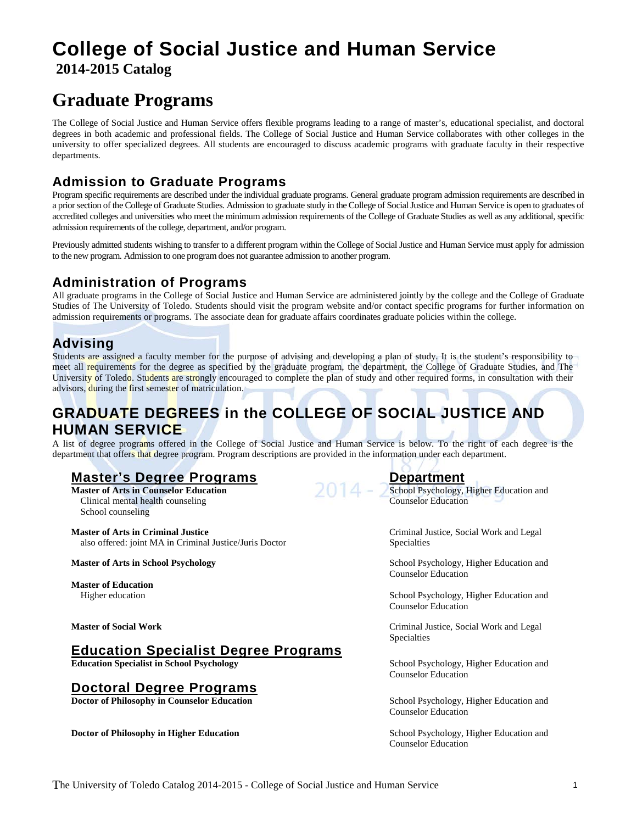# **College of Social Justice and Human Service 2014-2015 Catalog**

# **Graduate Programs**

The College of Social Justice and Human Service offers flexible programs leading to a range of master's, educational specialist, and doctoral degrees in both academic and professional fields. The College of Social Justice and Human Service collaborates with other colleges in the university to offer specialized degrees. All students are encouraged to discuss academic programs with graduate faculty in their respective departments.

## **Admission to Graduate Programs**

Program specific requirements are described under the individual graduate programs. General graduate program admission requirements are described in a prior section of the College of Graduate Studies. Admission to graduate study in the College of Social Justice and Human Service is open to graduates of accredited colleges and universities who meet the minimum admission requirements of the College of Graduate Studies as well as any additional, specific admission requirements of the college, department, and/or program.

Previously admitted students wishing to transfer to a different program within the College of Social Justice and Human Service must apply for admission to the new program. Admission to one program does not guarantee admission to another program.

## **Administration of Programs**

All graduate programs in the College of Social Justice and Human Service are administered jointly by the college and the College of Graduate Studies of The University of Toledo. Students should visit the program website and/or contact specific programs for further information on admission requirements or programs. The associate dean for graduate affairs coordinates graduate policies within the college.

## **Advising**

Students are assigned a faculty member for the purpose of advising and developing a plan of study. It is the student's responsibility to meet all requirements for the degree as specified by the graduate program, the department, the College of Graduate Studies, and The University of Toledo. Students are strongly encouraged to complete the plan of study and other required forms, in consultation with their advisors, during the first semester of matriculation.

# **GRADUATE DEGREES in the COLLEGE OF SOCIAL JUSTICE AND HUMAN SERVICE**

A list of degree programs offered in the College of Social Justice and Human Service is below. To the right of each degree is the department that offers that degree program. Program descriptions are provided in the information under each department.

## **Master's Degree Programs Department**

**Master of Arts in Counselor Education** School Psychology, Higher Education and School Psychology, Higher Education and Clinical mental health counseling Counselor Education School counseling

**Master of Arts in Criminal Justice** Criminal Justice, Social Work and Legal also offered: joint MA in Criminal Justice/Juris Doctor Specialties

**Master of Education**

### **Education Specialist Degree Programs**

**Education Specialist in School Psychology** School Psychology, Higher Education and

### **Doctoral Degree Programs**

**Doctor of Philosophy in Counselor Education** School Psychology, Higher Education and

**Doctor of Philosophy in Higher Education** School Psychology, Higher Education and

**Master of Arts in School Psychology and School Psychology, Higher Education and School Psychology, Higher Education and School Psychology, Higher Education and School Psychology, Higher Education and School Psychology, Hi** Counselor Education

Higher education School Psychology, Higher Education and Counselor Education

**Master of Social Work** Criminal Justice, Social Work and Legal Specialties

Counselor Education

Counselor Education

Counselor Education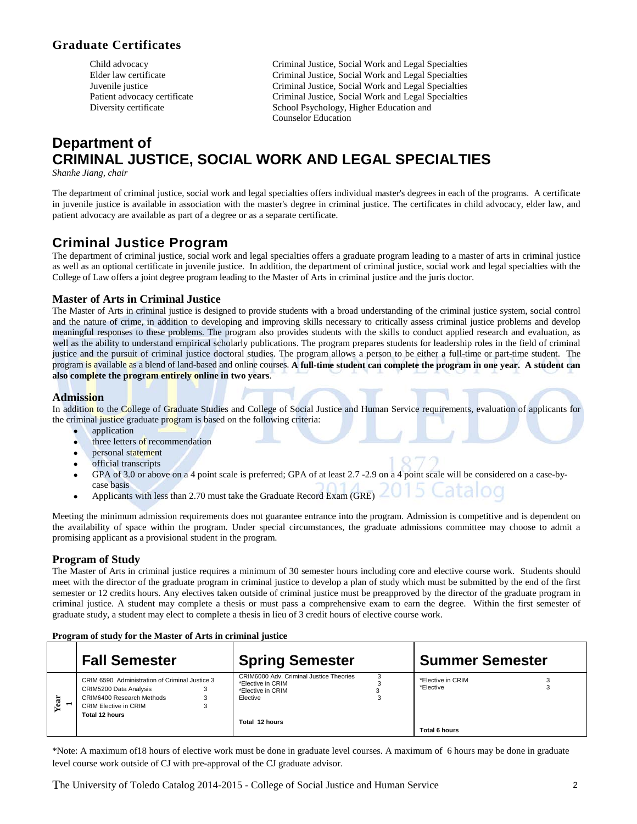### **Graduate Certificates**

Criminal Justice, Social Work and Legal Specialties<br>Elder law certificate Criminal Justice, Social Work and Legal Specialties Elder law certificate Criminal Justice, Social Work and Legal Specialties<br>
Criminal Justice, Social Work and Legal Specialties Criminal Justice, Social Work and Legal Specialties Patient advocacy certificate Criminal Justice, Social Work and Legal Specialties Diversity certificate School Psychology, Higher Education and Counselor Education

# **Department of CRIMINAL JUSTICE, SOCIAL WORK AND LEGAL SPECIALTIES**

*Shanhe Jiang, chair*

The department of criminal justice, social work and legal specialties offers individual master's degrees in each of the programs. A certificate in juvenile justice is available in association with the master's degree in criminal justice. The certificates in child advocacy, elder law, and patient advocacy are available as part of a degree or as a separate certificate.

### **Criminal Justice Program**

The department of criminal justice, social work and legal specialties offers a graduate program leading to a master of arts in criminal justice as well as an optional certificate in juvenile justice. In addition, the department of criminal justice, social work and legal specialties with the College of Law offers a joint degree program leading to the Master of Arts in criminal justice and the juris doctor.

### **Master of Arts in Criminal Justice**

The Master of Arts in criminal justice is designed to provide students with a broad understanding of the criminal justice system, social control and the nature of crime, in addition to developing and improving skills necessary to critically assess criminal justice problems and develop meaningful responses to these problems. The program also provides students with the skills to conduct applied research and evaluation, as well as the ability to understand empirical scholarly publications. The program prepares students for leadership roles in the field of criminal justice and the pursuit of criminal justice doctoral studies. The program allows a person to be either a full-time or part-time student. The program is available as a blend of land-based and online courses. **A full-time student can complete the program in one year. A student can also complete the program entirely online in two years**.

### **Admission**

In addition to the College of Graduate Studies and College of Social Justice and Human Service requirements, evaluation of applicants for the criminal justice graduate program is based on the following criteria:

- application
- three letters of recommendation
- personal statement
- official transcripts
- GPA of 3.0 or above on a 4 point scale is preferred; GPA of at least 2.7 -2.9 on a 4 point scale will be considered on a case-bycase basis
- Applicants with less than 2.70 must take the Graduate Record Exam (GRE)

Meeting the minimum admission requirements does not guarantee entrance into the program. Admission is competitive and is dependent on the availability of space within the program. Under special circumstances, the graduate admissions committee may choose to admit a promising applicant as a provisional student in the program.

### **Program of Study**

The Master of Arts in criminal justice requires a minimum of 30 semester hours including core and elective course work. Students should meet with the director of the graduate program in criminal justice to develop a plan of study which must be submitted by the end of the first semester or 12 credits hours. Any electives taken outside of criminal justice must be preapproved by the director of the graduate program in criminal justice. A student may complete a thesis or must pass a comprehensive exam to earn the degree. Within the first semester of graduate study, a student may elect to complete a thesis in lieu of 3 credit hours of elective course work.

#### **Program of study for the Master of Arts in criminal justice**

|     | <b>Fall Semester</b>                                                                                                                                    | <b>Spring Semester</b>                                                                                          | <b>Summer Semester</b>                          |  |
|-----|---------------------------------------------------------------------------------------------------------------------------------------------------------|-----------------------------------------------------------------------------------------------------------------|-------------------------------------------------|--|
| ear | CRIM 6590 Administration of Criminal Justice 3<br>CRIM5200 Data Analysis<br>CRIM6400 Research Methods<br><b>CRIM Elective in CRIM</b><br>Total 12 hours | CRIM6000 Adv. Criminal Justice Theories<br>*Elective in CRIM<br>*Elective in CRIM<br>Elective<br>Total 12 hours | *Elective in CRIM<br>*Elective<br>Total 6 hours |  |

\*Note: A maximum of18 hours of elective work must be done in graduate level courses. A maximum of 6 hours may be done in graduate level course work outside of CJ with pre-approval of the CJ graduate advisor.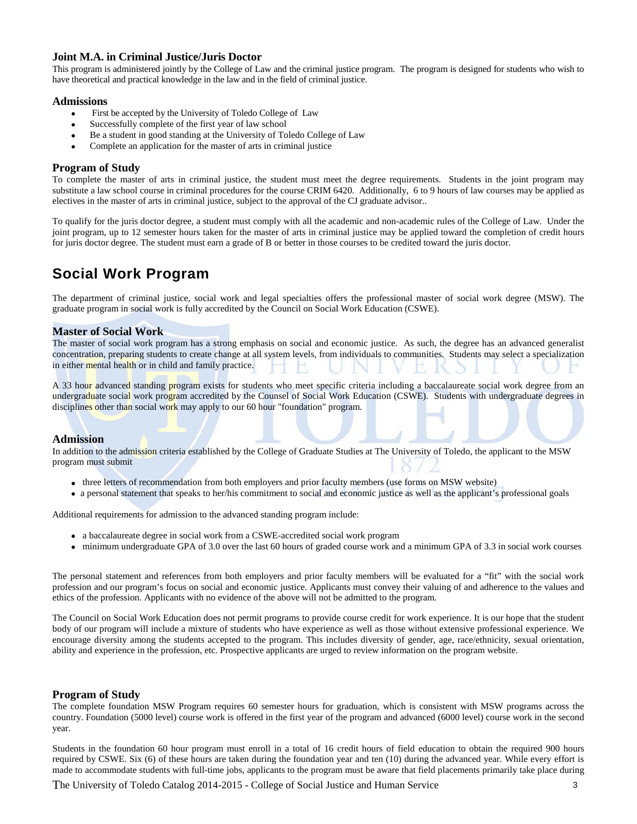### **Joint M.A. in Criminal Justice/Juris Doctor**

This program is administered jointly by the College of Law and the criminal justice program. The program is designed for students who wish to have theoretical and practical knowledge in the law and in the field of criminal justice.

### **Admissions**

- First be accepted by the University of Toledo College of Law
- Successfully complete of the first year of law school
- Be a student in good standing at the University of Toledo College of Law
- Complete an application for the master of arts in criminal justice

### **Program of Study**

To complete the master of arts in criminal justice, the student must meet the degree requirements. Students in the joint program may substitute a law school course in criminal procedures for the course CRIM 6420. Additionally, 6 to 9 hours of law courses may be applied as electives in the master of arts in criminal justice, subject to the approval of the CJ graduate advisor..

To qualify for the juris doctor degree, a student must comply with all the academic and non-academic rules of the College of Law. Under the joint program, up to 12 semester hours taken for the master of arts in criminal justice may be applied toward the completion of credit hours for juris doctor degree. The student must earn a grade of B or better in those courses to be credited toward the juris doctor.

# **Social Work Program**

The department of criminal justice, social work and legal specialties offers the professional master of social work degree (MSW). The graduate program in social work is fully accredited by the Council on Social Work Education (CSWE).

### **Master of Social Work**

The master of social work program has a strong emphasis on social and economic justice. As such, the degree has an advanced generalist concentration, preparing students to create change at all system levels, from individuals to communities. Students may select a specialization in either mental health or in child and family practice.

A 33 hour advanced standing program exists for students who meet specific criteria including a baccalaureate social work degree from an undergraduate social work program accredited by the Counsel of Social Work Education (CSWE). Students with undergraduate degrees in disciplines other than social work may apply to our 60 hour "foundation" program.

#### **Admission**

In addition to the admission criteria established by the College of Graduate Studies at The University of Toledo, the applicant to the MSW program must submit

- three letters of recommendation from both employers and prior faculty members (use forms on MSW website)
- a personal statement that speaks to her/his commitment to social and economic justice as well as the applicant's professional goals

Additional requirements for admission to the advanced standing program include:

- a baccalaureate degree in social work from a CSWE-accredited social work program
- minimum undergraduate GPA of 3.0 over the last 60 hours of graded course work and a minimum GPA of 3.3 in social work courses

The personal statement and references from both employers and prior faculty members will be evaluated for a "fit" with the social work profession and our program's focus on social and economic justice. Applicants must convey their valuing of and adherence to the values and ethics of the profession. Applicants with no evidence of the above will not be admitted to the program.

The Council on Social Work Education does not permit programs to provide course credit for work experience. It is our hope that the student body of our program will include a mixture of students who have experience as well as those without extensive professional experience. We encourage diversity among the students accepted to the program. This includes diversity of gender, age, race/ethnicity, sexual orientation, ability and experience in the profession, etc. Prospective applicants are urged to review information on the program website.

### **Program of Study**

The complete foundation MSW Program requires 60 semester hours for graduation, which is consistent with MSW programs across the country. Foundation (5000 level) course work is offered in the first year of the program and advanced (6000 level) course work in the second year.

Students in the foundation 60 hour program must enroll in a total of 16 credit hours of field education to obtain the required 900 hours required by CSWE. Six (6) of these hours are taken during the foundation year and ten (10) during the advanced year. While every effort is made to accommodate students with full-time jobs, applicants to the program must be aware that field placements primarily take place during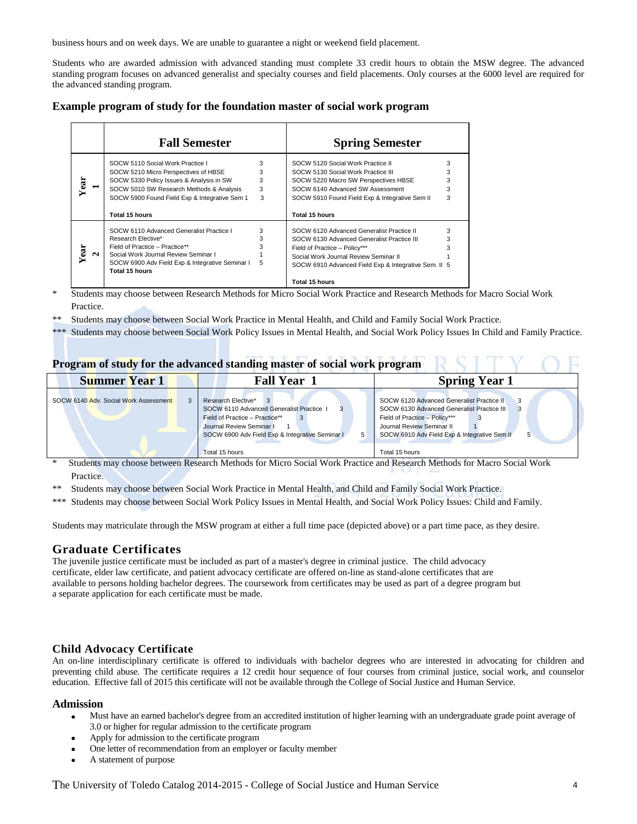business hours and on week days. We are unable to guarantee a night or weekend field placement.

Students who are awarded admission with advanced standing must complete 33 credit hours to obtain the MSW degree. The advanced standing program focuses on advanced generalist and specialty courses and field placements. Only courses at the 6000 level are required for the advanced standing program.

| Example program of study for the foundation master of social work program |
|---------------------------------------------------------------------------|
|---------------------------------------------------------------------------|

|   | <b>Fall Semester</b>                                              |   | <b>Spring Semester</b>                               |   |
|---|-------------------------------------------------------------------|---|------------------------------------------------------|---|
|   | SOCW 5110 Social Work Practice I                                  | 3 | SOCW 5120 Social Work Practice II                    | 3 |
|   | SOCW 5210 Micro Perspectives of HBSE                              | 3 | SOCW 5130 Social Work Practice III                   | 3 |
| ā | SOCW 5330 Policy Issues & Analysis in SW                          | 3 | SOCW 5220 Macro SW Perspectives HBSE                 | 3 |
|   | SOCW 5010 SW Research Methods & Analysis                          | 3 | SOCW 6140 Advanced SW Assessment                     | 3 |
|   | SOCW 5900 Found Field Exp & Integrative Sem 1                     | 3 | SOCW 5910 Found Field Exp & Integrative Sem II       | 3 |
|   | Total 15 hours                                                    |   | Total 15 hours                                       |   |
|   |                                                                   |   |                                                      |   |
|   | SOCW 6110 Advanced Generalist Practice I                          | 3 | SOCW 6120 Advanced Generalist Practice II            | 3 |
|   | Research Elective*                                                | 3 | SOCW 6130 Advanced Generalist Practice III           | 3 |
|   | Field of Practice - Practice**                                    | 3 | Field of Practice - Policy***                        | 3 |
| N | Social Work Journal Review Seminar I                              |   | Social Work Journal Review Seminar II                |   |
|   | SOCW 6900 Adv Field Exp & Integrative Seminar I<br>Total 15 hours | 5 | SOCW 6910 Advanced Field Exp & Integrative Sem. II 5 |   |

Students may choose between Research Methods for Micro Social Work Practice and Research Methods for Macro Social Work Practice.

Students may choose between Social Work Practice in Mental Health, and Child and Family Social Work Practice.

\*\*\* Students may choose between Social Work Policy Issues in Mental Health, and Social Work Policy Issues In Child and Family Practice.

### **Program of study for the advanced standing master of social work program**

| <b>Summer Year 1</b>                  | <b>Fall Year</b>                                                                                                                                                                                       | <b>Spring Year 1</b>                                                                                                                                                                                                         |  |
|---------------------------------------|--------------------------------------------------------------------------------------------------------------------------------------------------------------------------------------------------------|------------------------------------------------------------------------------------------------------------------------------------------------------------------------------------------------------------------------------|--|
| SOCW 6140 Adv. Social Work Assessment | Research Elective*<br>SOCW 6110 Advanced Generalist Practice 1<br>Field of Practice - Practice**<br>Journal Review Seminar I<br>SOCW 6900 Adv Field Exp & Integrative Seminar I<br>5<br>Total 15 hours | SOCW 6120 Advanced Generalist Practice II<br>3<br>SOCW 6130 Advanced Generalist Practice III<br>Field of Practice - Policy***<br>Journal Review Seminar II<br>SOCW 6910 Adv Field Exp & Integrative Sem II<br>Total 15 hours |  |

\* Students may choose between Research Methods for Micro Social Work Practice and Research Methods for Macro Social Work Practice.

\*\* Students may choose between Social Work Practice in Mental Health, and Child and Family Social Work Practice.

\*\*\* Students may choose between Social Work Policy Issues in Mental Health, and Social Work Policy Issues: Child and Family.

Students may matriculate through the MSW program at either a full time pace (depicted above) or a part time pace, as they desire.

### **Graduate Certificates**

The juvenile justice certificate must be included as part of a master's degree in criminal justice. The child advocacy certificate, elder law certificate, and patient advocacy certificate are offered on-line as stand-alone certificates that are available to persons holding bachelor degrees. The coursework from certificates may be used as part of a degree program but a separate application for each certificate must be made.

### **Child Advocacy Certificate**

An on-line interdisciplinary certificate is offered to individuals with bachelor degrees who are interested in advocating for children and preventing child abuse. The certificate requires a 12 credit hour sequence of four courses from criminal justice, social work, and counselor education. Effective fall of 2015 this certificate will not be available through the College of Social Justice and Human Service.

#### **Admission**

- Must have an earned bachelor's degree from an accredited institution of higher learning with an undergraduate grade point average of 3.0 or higher for regular admission to the certificate program
- Apply for admission to the certificate program
- One letter of recommendation from an employer or faculty member
- A statement of purpose

The University of Toledo Catalog 2014-2015 - College of Social Justice and Human Service <sup>4</sup>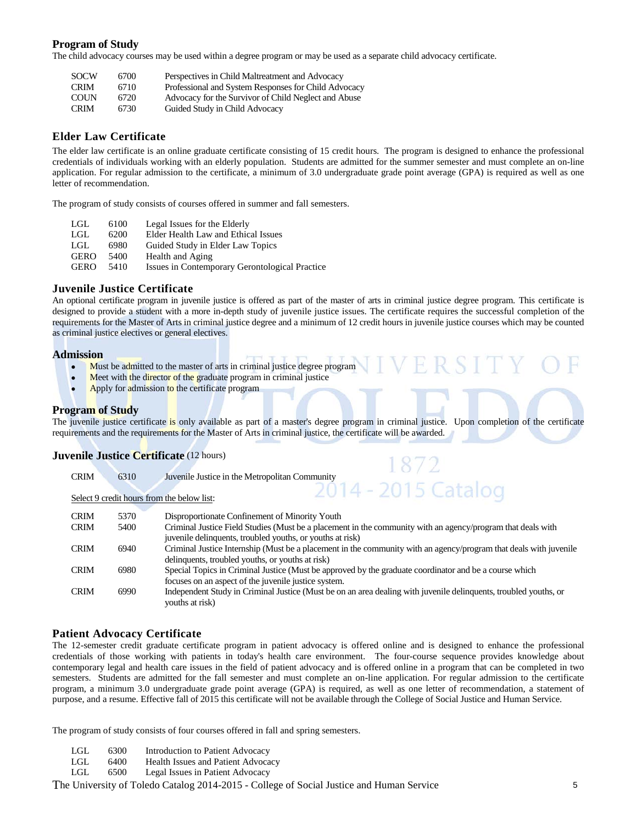### **Program of Study**

The child advocacy courses may be used within a degree program or may be used as a separate child advocacy certificate.

| <b>SOCW</b> | 6700 | Perspectives in Child Maltreatment and Advocacy      |
|-------------|------|------------------------------------------------------|
| <b>CRIM</b> | 6710 | Professional and System Responses for Child Advocacy |
| <b>COUN</b> | 6720 | Advocacy for the Survivor of Child Neglect and Abuse |
| <b>CRIM</b> | 6730 | Guided Study in Child Advocacy                       |

### **Elder Law Certificate**

The elder law certificate is an online graduate certificate consisting of 15 credit hours. The program is designed to enhance the professional credentials of individuals working with an elderly population. Students are admitted for the summer semester and must complete an on-line application. For regular admission to the certificate, a minimum of 3.0 undergraduate grade point average (GPA) is required as well as one letter of recommendation.

The program of study consists of courses offered in summer and fall semesters.

| LGL | 6100 | Legal Issues for the Elderly |
|-----|------|------------------------------|
|-----|------|------------------------------|

LGL 6200 Elder Health Law and Ethical Issues

- LGL 6980 Guided Study in Elder Law Topics<br>GERO 5400 Health and Aging
- Health and Aging
- GERO 5410 Issues in Contemporary Gerontological Practice

### **Juvenile Justice Certificate**

An optional certificate program in juvenile justice is offered as part of the master of arts in criminal justice degree program. This certificate is designed to provide a student with a more in-depth study of juvenile justice issues. The certificate requires the successful completion of the requirements for the Master of Arts in criminal justice degree and a minimum of 12 credit hours in juvenile justice courses which may be counted as criminal justice electives or general electives.

#### **Admission**

- Must be admitted to the master of arts in criminal justice degree program
- Meet with the director of the graduate program in criminal justice

CRIM 6310 Juvenile Justice in the Metropolitan Community

Apply for admission to the certificate program

#### **Program of Study**

The juvenile justice certificate is only available as part of a master's degree program in criminal justice. Upon completion of the certificate requirements and the requirements for the Master of Arts in criminal justice, the certificate will be awarded.

872

### **Juvenile Justice Certificate** (12 hours)

|             |      | 2014 - 2015 Catalog                                                                                               |
|-------------|------|-------------------------------------------------------------------------------------------------------------------|
|             |      | Select 9 credit hours from the below list:                                                                        |
|             |      |                                                                                                                   |
| <b>CRIM</b> | 5370 | Disproportionate Confinement of Minority Youth                                                                    |
| <b>CRIM</b> | 5400 | Criminal Justice Field Studies (Must be a placement in the community with an agency/program that deals with       |
|             |      | juvenile delinquents, troubled youths, or youths at risk)                                                         |
| <b>CRIM</b> | 6940 | Criminal Justice Internship (Must be a placement in the community with an agency/program that deals with juvenile |
|             |      | delinquents, troubled youths, or youths at risk)                                                                  |
| <b>CRIM</b> | 6980 | Special Topics in Criminal Justice (Must be approved by the graduate coordinator and be a course which            |
|             |      | focuses on an aspect of the juvenile justice system.                                                              |
| <b>CRIM</b> | 6990 | Independent Study in Criminal Justice (Must be on an area dealing with juvenile delinquents, troubled youths, or  |
|             |      | youths at risk)                                                                                                   |
|             |      |                                                                                                                   |

#### **Patient Advocacy Certificate**

The 12-semester credit graduate certificate program in patient advocacy is offered online and is designed to enhance the professional credentials of those working with patients in today's health care environment. The four-course sequence provides knowledge about contemporary legal and health care issues in the field of patient advocacy and is offered online in a program that can be completed in two semesters. Students are admitted for the fall semester and must complete an on-line application. For regular admission to the certificate program, a minimum 3.0 undergraduate grade point average (GPA) is required, as well as one letter of recommendation, a statement of purpose, and a resume. Effective fall of 2015 this certificate will not be available through the College of Social Justice and Human Service.

The program of study consists of four courses offered in fall and spring semesters.

- LGL 6300 Introduction to Patient Advocacy<br>LGL 6400 Health Issues and Patient Advoca
- Health Issues and Patient Advocacy
- LGL 6500 Legal Issues in Patient Advocacy

The University of Toledo Catalog 2014-2015 - College of Social Justice and Human Service <sup>5</sup>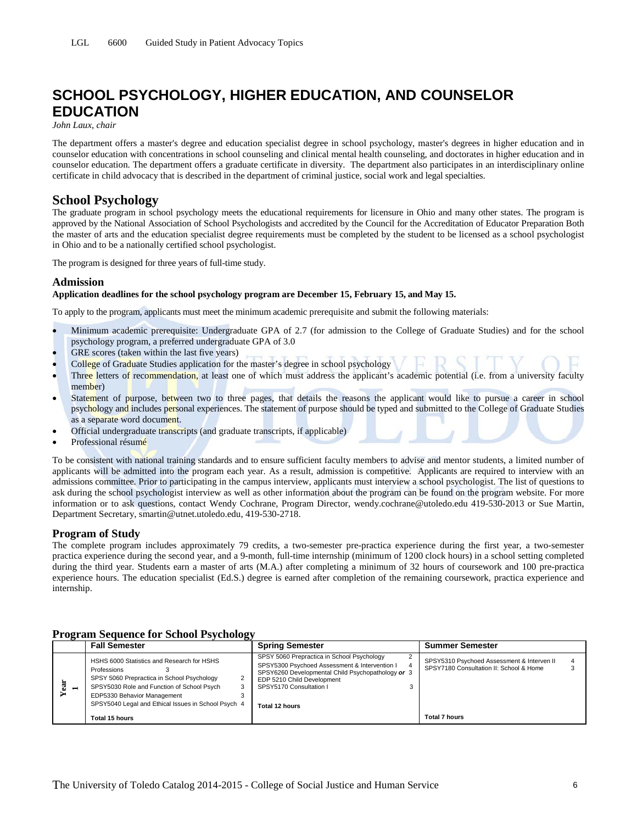# **SCHOOL PSYCHOLOGY, HIGHER EDUCATION, AND COUNSELOR EDUCATION**

*John Laux, chair*

The department offers a master's degree and education specialist degree in school psychology, master's degrees in higher education and in counselor education with concentrations in school counseling and clinical mental health counseling, and doctorates in higher education and in counselor education. The department offers a graduate certificate in diversity. The department also participates in an interdisciplinary online certificate in child advocacy that is described in the department of criminal justice, social work and legal specialties.

### **School Psychology**

The graduate program in school psychology meets the educational requirements for licensure in Ohio and many other states. The program is approved by the National Association of School Psychologists and accredited by the Council for the Accreditation of Educator Preparation Both the master of arts and the education specialist degree requirements must be completed by the student to be licensed as a school psychologist in Ohio and to be a nationally certified school psychologist.

The program is designed for three years of full-time study.

### **Admission**

#### **Application deadlines for the school psychology program are December 15, February 15, and May 15.**

To apply to the program, applicants must meet the minimum academic prerequisite and submit the following materials:

- Minimum academic prerequisite: Undergraduate GPA of 2.7 (for admission to the College of Graduate Studies) and for the school psychology program, a preferred undergraduate GPA of 3.0
- GRE scores (taken within the last five years)
- College of Graduate Studies application for the master's degree in school psychology
- Three letters of recommendation, at least one of which must address the applicant's academic potential (i.e. from a university faculty member)
- Statement of purpose, between two to three pages, that details the reasons the applicant would like to pursue a career in school psychology and includes personal experiences. The statement of purpose should be typed and submitted to the College of Graduate Studies as a separate word document.
- Official undergraduate transcripts (and graduate transcripts, if applicable)
- Professional résumé

To be consistent with national training standards and to ensure sufficient faculty members to advise and mentor students, a limited number of applicants will be admitted into the program each year. As a result, admission is competitive. Applicants are required to interview with an admissions committee. Prior to participating in the campus interview, applicants must interview a school psychologist. The list of questions to ask during the school psychologist interview as well as other information about the program can be found on the program website. For more information or to ask questions, contact Wendy Cochrane, Program Director, wendy.cochrane@utoledo.edu 419-530-2013 or Sue Martin, Department Secretary, smartin@utnet.utoledo.edu, 419-530-2718.

### **Program of Study**

The complete program includes approximately 79 credits, a two-semester pre-practica experience during the first year, a two-semester practica experience during the second year, and a 9-month, full-time internship (minimum of 1200 clock hours) in a school setting completed during the third year. Students earn a master of arts (M.A.) after completing a minimum of 32 hours of coursework and 100 pre-practica experience hours. The education specialist (Ed.S.) degree is earned after completion of the remaining coursework, practica experience and internship.

|                               | <b>Fall Semester</b>                                                                                                                                                                                                                        | <b>Spring Semester</b>                                                                                                                                                                                                           | <b>Summer Semester</b>                                                                |
|-------------------------------|---------------------------------------------------------------------------------------------------------------------------------------------------------------------------------------------------------------------------------------------|----------------------------------------------------------------------------------------------------------------------------------------------------------------------------------------------------------------------------------|---------------------------------------------------------------------------------------|
| $\overline{\phantom{0}}$<br>ω | HSHS 6000 Statistics and Research for HSHS<br>Professions<br>SPSY 5060 Prepractica in School Psychology<br>SPSY5030 Role and Function of School Psych<br>EDP5330 Behavior Management<br>SPSY5040 Legal and Ethical Issues in School Psych 4 | SPSY 5060 Prepractica in School Psychology<br>SPSY5300 Psychoed Assessment & Intervention I<br>4<br>SPSY6260 Developmental Child Psychopathology or 3<br>EDP 5210 Child Development<br>SPSY5170 Consultation I<br>Total 12 hours | SPSY5310 Psychoed Assessment & Interven II<br>SPSY7180 Consultation II: School & Home |
|                               | Total 15 hours                                                                                                                                                                                                                              |                                                                                                                                                                                                                                  | Total 7 hours                                                                         |

#### **Program Sequence for School Psychology**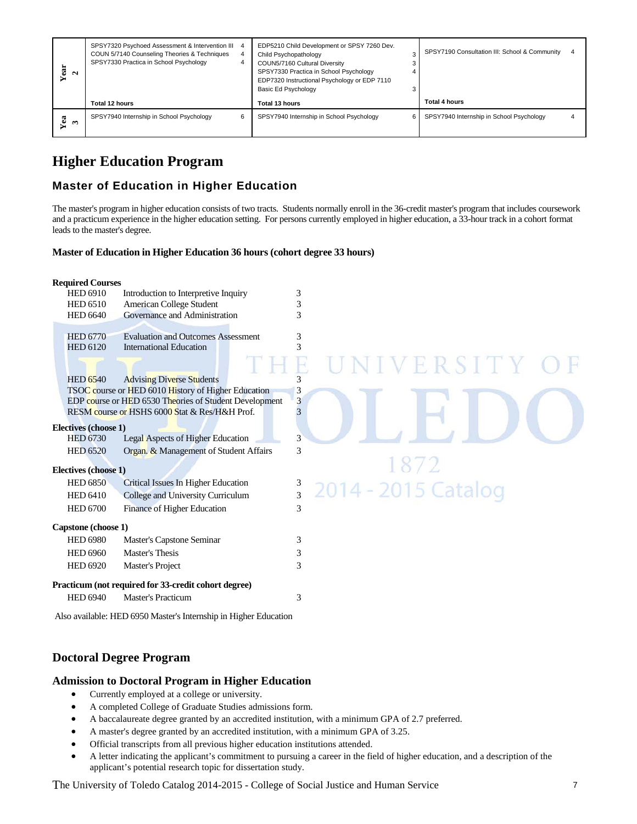| ēā<br>Ν             | SPSY7320 Psychoed Assessment & Intervention III 4<br>COUN 5/7140 Counseling Theories & Techniques<br>SPSY7330 Practica in School Psychology |   | EDP5210 Child Development or SPSY 7260 Dev.<br>Child Psychopathology<br>COUN5/7160 Cultural Diversity<br>SPSY7330 Practica in School Psychology<br>EDP7320 Instructional Psychology or EDP 7110<br>Basic Ed Psychology |   | SPSY7190 Consultation III: School & Community | 4 |
|---------------------|---------------------------------------------------------------------------------------------------------------------------------------------|---|------------------------------------------------------------------------------------------------------------------------------------------------------------------------------------------------------------------------|---|-----------------------------------------------|---|
|                     | Total 12 hours                                                                                                                              |   | Total 13 hours                                                                                                                                                                                                         |   | Total 4 hours                                 |   |
| Yea<br>$\mathbf{C}$ | SPSY7940 Internship in School Psychology                                                                                                    | 6 | SPSY7940 Internship in School Psychology                                                                                                                                                                               | 6 | SPSY7940 Internship in School Psychology      |   |

# **Higher Education Program**

### **Master of Education in Higher Education**

### **Master of Education in Higher Education 36 hours (cohort degree 33 hours)**

| Year<br>$\mathbf{z}$                                                             | <b>SPST7330 PIACTICA III SCHOOL PSYCHOLOGY</b>                                                                                                                                                                                                                                                                                                                                                                                                                                                                                                                                                                                                                                                                                                     |   | COUNS/7160 Cultural Diversity<br>SPSY7330 Practica in School Psychology<br>EDP7320 Instructional Psychology or EDP 7110<br>Basic Ed Psychology | J<br>4<br>3 |                                                                                                                                                                                                                                                                                                            |  |
|----------------------------------------------------------------------------------|----------------------------------------------------------------------------------------------------------------------------------------------------------------------------------------------------------------------------------------------------------------------------------------------------------------------------------------------------------------------------------------------------------------------------------------------------------------------------------------------------------------------------------------------------------------------------------------------------------------------------------------------------------------------------------------------------------------------------------------------------|---|------------------------------------------------------------------------------------------------------------------------------------------------|-------------|------------------------------------------------------------------------------------------------------------------------------------------------------------------------------------------------------------------------------------------------------------------------------------------------------------|--|
|                                                                                  | Total 12 hours                                                                                                                                                                                                                                                                                                                                                                                                                                                                                                                                                                                                                                                                                                                                     |   | Total 13 hours                                                                                                                                 |             | <b>Total 4 hours</b>                                                                                                                                                                                                                                                                                       |  |
| Yea<br>$\boldsymbol{\kappa}$                                                     | SPSY7940 Internship in School Psychology                                                                                                                                                                                                                                                                                                                                                                                                                                                                                                                                                                                                                                                                                                           | 6 | SPSY7940 Internship in School Psychology                                                                                                       | 6           | SPSY7940 Internship in School Psychology<br>4                                                                                                                                                                                                                                                              |  |
|                                                                                  | <b>Higher Education Program</b><br><b>Master of Education in Higher Education</b><br>leads to the master's degree.<br>Master of Education in Higher Education 36 hours (cohort degree 33 hours)                                                                                                                                                                                                                                                                                                                                                                                                                                                                                                                                                    |   |                                                                                                                                                |             | The master's program in higher education consists of two tracts. Students normally enroll in the 36-credit master's program that includes coursework<br>and a practicum experience in the higher education setting. For persons currently employed in higher education, a 33-hour track in a cohort format |  |
|                                                                                  |                                                                                                                                                                                                                                                                                                                                                                                                                                                                                                                                                                                                                                                                                                                                                    |   |                                                                                                                                                |             |                                                                                                                                                                                                                                                                                                            |  |
| <b>Required Courses</b><br><b>HED 6910</b><br><b>HED 6510</b><br><b>HED 6640</b> | Introduction to Interpretive Inquiry<br>American College Student<br>Governance and Administration                                                                                                                                                                                                                                                                                                                                                                                                                                                                                                                                                                                                                                                  |   | 3<br>3<br>3                                                                                                                                    |             |                                                                                                                                                                                                                                                                                                            |  |
| <b>HED 6770</b><br><b>HED 6120</b>                                               | <b>Evaluation and Outcomes Assessment</b><br><b>International Education</b>                                                                                                                                                                                                                                                                                                                                                                                                                                                                                                                                                                                                                                                                        |   | 3<br>3                                                                                                                                         |             | ERSITY                                                                                                                                                                                                                                                                                                     |  |
| <b>HED 6540</b>                                                                  | <b>Advising Diverse Students</b><br>TSOC course or HED 6010 History of Higher Education<br>EDP course or HED 6530 Theories of Student Development<br>RESM course or HSHS 6000 Stat & Res/H&H Prof.                                                                                                                                                                                                                                                                                                                                                                                                                                                                                                                                                 |   | 3<br>3<br>3<br>3                                                                                                                               |             |                                                                                                                                                                                                                                                                                                            |  |
| <b>HED 6730</b><br><b>HED 6520</b>                                               | Electives (choose 1)<br>Legal Aspects of Higher Education<br>Organ. & Management of Student Affairs                                                                                                                                                                                                                                                                                                                                                                                                                                                                                                                                                                                                                                                |   | 3<br>3                                                                                                                                         |             |                                                                                                                                                                                                                                                                                                            |  |
|                                                                                  | Electives (choose 1)                                                                                                                                                                                                                                                                                                                                                                                                                                                                                                                                                                                                                                                                                                                               |   |                                                                                                                                                |             |                                                                                                                                                                                                                                                                                                            |  |
| <b>HED 6850</b><br><b>HED 6410</b><br><b>HED 6700</b>                            | Critical Issues In Higher Education<br>College and University Curriculum<br>Finance of Higher Education                                                                                                                                                                                                                                                                                                                                                                                                                                                                                                                                                                                                                                            |   | $\frac{3}{3}$<br>3                                                                                                                             |             | 2014 - 2015 Catalog                                                                                                                                                                                                                                                                                        |  |
| <b>HED 6980</b><br><b>HED 6960</b><br><b>HED 6920</b>                            | Capstone (choose 1)<br>Master's Capstone Seminar<br>Master's Thesis<br>Master's Project                                                                                                                                                                                                                                                                                                                                                                                                                                                                                                                                                                                                                                                            |   | 3<br>3<br>3                                                                                                                                    |             |                                                                                                                                                                                                                                                                                                            |  |
| <b>HED 6940</b>                                                                  | Practicum (not required for 33-credit cohort degree)<br><b>Master's Practicum</b>                                                                                                                                                                                                                                                                                                                                                                                                                                                                                                                                                                                                                                                                  |   | 3                                                                                                                                              |             |                                                                                                                                                                                                                                                                                                            |  |
|                                                                                  | Also available: HED 6950 Master's Internship in Higher Education                                                                                                                                                                                                                                                                                                                                                                                                                                                                                                                                                                                                                                                                                   |   |                                                                                                                                                |             |                                                                                                                                                                                                                                                                                                            |  |
|                                                                                  | <b>Doctoral Degree Program</b>                                                                                                                                                                                                                                                                                                                                                                                                                                                                                                                                                                                                                                                                                                                     |   |                                                                                                                                                |             |                                                                                                                                                                                                                                                                                                            |  |
| ٠                                                                                | <b>Admission to Doctoral Program in Higher Education</b><br>Currently employed at a college or university.<br>A completed College of Graduate Studies admissions form.<br>A baccalaureate degree granted by an accredited institution, with a minimum GPA of 2.7 preferred.<br>A master's degree granted by an accredited institution, with a minimum GPA of 3.25.<br>Official transcripts from all previous higher education institutions attended.<br>A letter indicating the applicant's commitment to pursuing a career in the field of higher education, and a description of the<br>applicant's potential research topic for dissertation study.<br>The University of Toledo Catalog 2014-2015 - College of Social Justice and Human Service |   |                                                                                                                                                |             | 7                                                                                                                                                                                                                                                                                                          |  |

### **Doctoral Degree Program**

### **Admission to Doctoral Program in Higher Education**

- Currently employed at a college or university.
- A completed College of Graduate Studies admissions form.
- A baccalaureate degree granted by an accredited institution, with a minimum GPA of 2.7 preferred.
- A master's degree granted by an accredited institution, with a minimum GPA of 3.25.
- Official transcripts from all previous higher education institutions attended.
- A letter indicating the applicant's commitment to pursuing a career in the field of higher education, and a description of the applicant's potential research topic for dissertation study.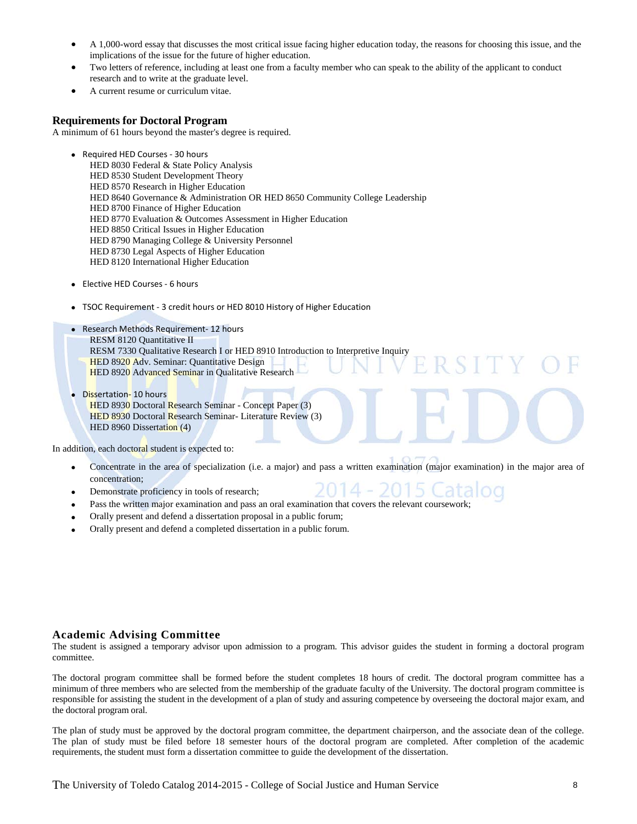- A 1,000-word essay that discusses the most critical issue facing higher education today, the reasons for choosing this issue, and the implications of the issue for the future of higher education.
- Two letters of reference, including at least one from a faculty member who can speak to the ability of the applicant to conduct research and to write at the graduate level.
- A current resume or curriculum vitae.

#### **Requirements for Doctoral Program**

A minimum of 61 hours beyond the master's degree is required.

- Required HED Courses 30 hours HED 8030 Federal & State Policy Analysis HED 8530 Student Development Theory HED 8570 Research in Higher Education HED 8640 Governance & Administration OR HED 8650 Community College Leadership HED 8700 Finance of Higher Education HED 8770 Evaluation & Outcomes Assessment in Higher Education HED 8850 Critical Issues in Higher Education HED 8790 Managing College & University Personnel HED 8730 Legal Aspects of Higher Education HED 8120 International Higher Education
- Elective HED Courses 6 hours
- TSOC Requirement 3 credit hours or HED 8010 History of Higher Education
- Research Methods Requirement- 12 hours RESM 8120 Quantitative II RESM 7330 Qualitative Research I or HED 8910 Introduction to Interpretive Inquiry HED 8920 Adv. Seminar: Quantitative Design HED 8920 Advanced Seminar in Qualitative Research
- Dissertation- 10 hours HED 8930 Doctoral Research Seminar - Concept Paper (3) HED 8930 Doctoral Research Seminar- Literature Review (3) HED 8960 Dissertation (4)

In addition, each doctoral student is expected to:

- Concentrate in the area of specialization (i.e. a major) and pass a written examination (major examination) in the major area of concentration;
- Demonstrate proficiency in tools of research;
- Pass the written major examination and pass an oral examination that covers the relevant coursework;
- Orally present and defend a dissertation proposal in a public forum;
- Orally present and defend a completed dissertation in a public forum.

### **Academic Advising Committee**

The student is assigned a temporary advisor upon admission to a program. This advisor guides the student in forming a doctoral program committee.

The doctoral program committee shall be formed before the student completes 18 hours of credit. The doctoral program committee has a minimum of three members who are selected from the membership of the graduate faculty of the University. The doctoral program committee is responsible for assisting the student in the development of a plan of study and assuring competence by overseeing the doctoral major exam, and the doctoral program oral.

The plan of study must be approved by the doctoral program committee, the department chairperson, and the associate dean of the college. The plan of study must be filed before 18 semester hours of the doctoral program are completed. After completion of the academic requirements, the student must form a dissertation committee to guide the development of the dissertation.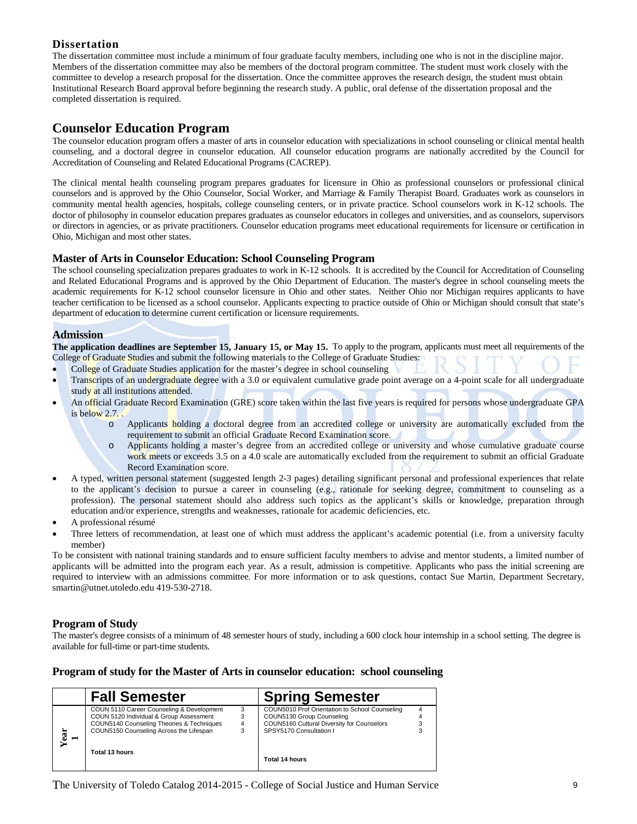### **Dissertation**

The dissertation committee must include a minimum of four graduate faculty members, including one who is not in the discipline major. Members of the dissertation committee may also be members of the doctoral program committee. The student must work closely with the committee to develop a research proposal for the dissertation. Once the committee approves the research design, the student must obtain Institutional Research Board approval before beginning the research study. A public, oral defense of the dissertation proposal and the completed dissertation is required.

### **Counselor Education Program**

The counselor education program offers a master of arts in counselor education with specializations in school counseling or clinical mental health counseling, and a doctoral degree in counselor education. All counselor education programs are nationally accredited by the Council for Accreditation of Counseling and Related Educational Programs (CACREP).

The clinical mental health counseling program prepares graduates for licensure in Ohio as professional counselors or professional clinical counselors and is approved by the Ohio Counselor, Social Worker, and Marriage & Family Therapist Board. Graduates work as counselors in community mental health agencies, hospitals, college counseling centers, or in private practice. School counselors work in K-12 schools. The doctor of philosophy in counselor education prepares graduates as counselor educators in colleges and universities, and as counselors, supervisors or directors in agencies, or as private practitioners. Counselor education programs meet educational requirements for licensure or certification in Ohio, Michigan and most other states.

### **Master of Arts in Counselor Education: School Counseling Program**

The school counseling specialization prepares graduates to work in K-12 schools. It is accredited by the Council for Accreditation of Counseling and Related Educational Programs and is approved by the Ohio Department of Education. The master's degree in school counseling meets the academic requirements for K-12 school counselor licensure in Ohio and other states. Neither Ohio nor Michigan requires applicants to have teacher certification to be licensed as a school counselor. Applicants expecting to practice outside of Ohio or Michigan should consult that state's department of education to determine current certification or licensure requirements.

### **Admission**

**The application deadlines are September 15, January 15, or May 15.** To apply to the program, applicants must meet all requirements of the College of Graduate Studies and submit the following materials to the College of Graduate Studies:

- College of Graduate Studies application for the master's degree in school counseling
- Transcripts of an undergraduate degree with a 3.0 or equivalent cumulative grade point average on a 4-point scale for all undergraduate study at all institutions attended.
- An official Graduate Record Examination (GRE) score taken within the last five years is required for persons whose undergraduate GPA is below 2.7. .
	- Applicants holding a doctoral degree from an accredited college or university are automatically excluded from the requirement to submit an official Graduate Record Examination score.
	- o Applicants holding a master's degree from an accredited college or university and whose cumulative graduate course work meets or exceeds 3.5 on a 4.0 scale are automatically excluded from the requirement to submit an official Graduate Record Examination score.
- A typed, written personal statement (suggested length 2-3 pages) detailing significant personal and professional experiences that relate to the applicant's decision to pursue a career in counseling (e.g., rationale for seeking degree, commitment to counseling as a profession). The personal statement should also address such topics as the applicant's skills or knowledge, preparation through education and/or experience, strengths and weaknesses, rationale for academic deficiencies, etc.
- A professional résumé
- Three letters of recommendation, at least one of which must address the applicant's academic potential (i.e. from a university faculty member)

To be consistent with national training standards and to ensure sufficient faculty members to advise and mentor students, a limited number of applicants will be admitted into the program each year. As a result, admission is competitive. Applicants who pass the initial screening are required to interview with an admissions committee. For more information or to ask questions, contact Sue Martin, Department Secretary, smartin@utnet.utoledo.edu 419-530-2718.

### **Program of Study**

The master's degree consists of a minimum of 48 semester hours of study, including a 600 clock hour internship in a school setting. The degree is available for full-time or part-time students.

### **Program of study for the Master of Arts in counselor education: school counseling**

|           | <b>Fall Semester</b>                                                                                                                                                         |        | <b>Spring Semester</b>                                                                                                                               |   |
|-----------|------------------------------------------------------------------------------------------------------------------------------------------------------------------------------|--------|------------------------------------------------------------------------------------------------------------------------------------------------------|---|
| Year<br>− | COUN 5110 Career Counseling & Development<br>COUN 5120 Individual & Group Assessment<br>COUN5140 Counseling Theories & Techniques<br>COUN5150 Counseling Across the Lifespan | 3<br>3 | COUN5010 Prof Orientation to School Counseling<br>COUN5130 Group Counseling<br>COUN5160 Cultural Diversity for Counselors<br>SPSY5170 Consultation I | 4 |
|           | Total 13 hours                                                                                                                                                               |        | Total 14 hours                                                                                                                                       |   |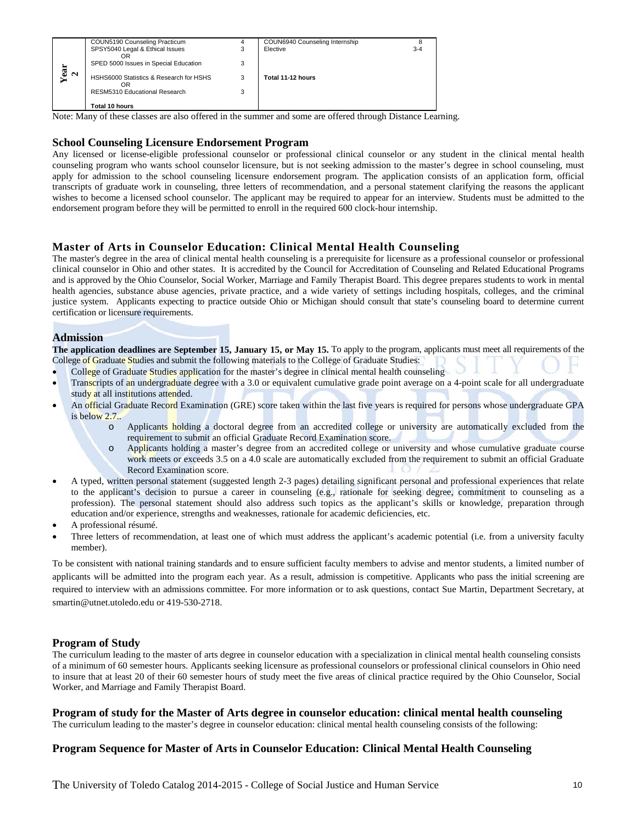|    | COUN5190 Counseling Practicum                 | 4 | COUN6940 Counseling Internship |         |
|----|-----------------------------------------------|---|--------------------------------|---------|
|    | SPSY5040 Legal & Ethical Issues<br>OR         | 3 | Elective                       | $3 - 4$ |
| är | SPED 5000 Issues in Special Education         | 3 |                                |         |
| Ν  | HSHS6000 Statistics & Research for HSHS<br>ΟR |   | Total 11-12 hours              |         |
|    | RESM5310 Educational Research                 |   |                                |         |
|    | Total 10 hours                                |   |                                |         |

Note: Many of these classes are also offered in the summer and some are offered through Distance Learning.

### **School Counseling Licensure Endorsement Program**

Any licensed or license-eligible professional counselor or professional clinical counselor or any student in the clinical mental health counseling program who wants school counselor licensure, but is not seeking admission to the master's degree in school counseling, must apply for admission to the school counseling licensure endorsement program. The application consists of an application form, official transcripts of graduate work in counseling, three letters of recommendation, and a personal statement clarifying the reasons the applicant wishes to become a licensed school counselor. The applicant may be required to appear for an interview. Students must be admitted to the endorsement program before they will be permitted to enroll in the required 600 clock-hour internship.

### **Master of Arts in Counselor Education: Clinical Mental Health Counseling**

The University of Toledo Catalog 2014-2015 - College of Social Justice and Human Service 10 **Year**  The master's degree in the area of clinical mental health counseling is a prerequisite for licensure as a professional counselor or professional clinical counselor in Ohio and other states. It is accredited by the Council for Accreditation of Counseling and Related Educational Programs and is approved by the Ohio Counselor, Social Worker, Marriage and Family Therapist Board. This degree prepares students to work in mental health agencies, substance abuse agencies, private practice, and a wide variety of settings including hospitals, colleges, and the criminal justice system. Applicants expecting to practice outside Ohio or Michigan should consult that state's counseling board to determine current certification or licensure requirements.

### **Admission**

**The application deadlines are September 15, January 15, or May 15.** To apply to the program, applicants must meet all requirements of the College of Graduate Studies and submit the following materials to the College of Graduate Studies:

- College of Graduate Studies application for the master's degree in clinical mental health counseling
- Transcripts of an undergraduate degree with a 3.0 or equivalent cumulative grade point average on a 4-point scale for all undergraduate study at all institutions attended.
- An official Graduate Record Examination (GRE) score taken within the last five years is required for persons whose undergraduate GPA is below 2.7..
	- o Applicants holding a doctoral degree from an accredited college or university are automatically excluded from the requirement to submit an official Graduate Record Examination score.
	- o Applicants holding a master's degree from an accredited college or university and whose cumulative graduate course work meets or exceeds 3.5 on a 4.0 scale are automatically excluded from the requirement to submit an official Graduate Record Examination score.
- A typed, written personal statement (suggested length 2-3 pages) detailing significant personal and professional experiences that relate to the applicant's decision to pursue a career in counseling (e.g., rationale for seeking degree, commitment to counseling as a profession). The personal statement should also address such topics as the applicant's skills or knowledge, preparation through education and/or experience, strengths and weaknesses, rationale for academic deficiencies, etc.
- A professional résumé.
- Three letters of recommendation, at least one of which must address the applicant's academic potential (i.e. from a university faculty member).

To be consistent with national training standards and to ensure sufficient faculty members to advise and mentor students, a limited number of applicants will be admitted into the program each year. As a result, admission is competitive. Applicants who pass the initial screening are required to interview with an admissions committee. For more information or to ask questions, contact Sue Martin, Department Secretary, at smartin@utnet.utoledo.edu or 419-530-2718.

### **Program of Study**

The curriculum leading to the master of arts degree in counselor education with a specialization in clinical mental health counseling consists of a minimum of 60 semester hours. Applicants seeking licensure as professional counselors or professional clinical counselors in Ohio need to insure that at least 20 of their 60 semester hours of study meet the five areas of clinical practice required by the Ohio Counselor, Social Worker, and Marriage and Family Therapist Board.

### **Program of study for the Master of Arts degree in counselor education: clinical mental health counseling**

The curriculum leading to the master's degree in counselor education: clinical mental health counseling consists of the following:

### **Program Sequence for Master of Arts in Counselor Education: Clinical Mental Health Counseling**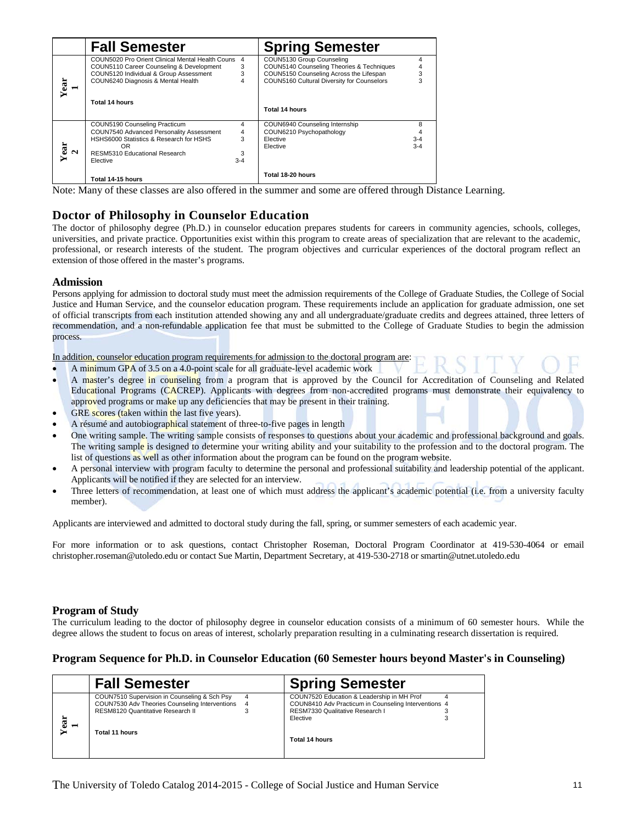|      | <b>Fall Semester</b>                                                                                                                                                         |                             | <b>Spring Semester</b>                                                                                                                                          |                              |
|------|------------------------------------------------------------------------------------------------------------------------------------------------------------------------------|-----------------------------|-----------------------------------------------------------------------------------------------------------------------------------------------------------------|------------------------------|
| Year | COUN5020 Pro Orient Clinical Mental Health Couns<br>COUN5110 Career Counseling & Development<br>COUN5120 Individual & Group Assessment<br>COUN6240 Diagnosis & Mental Health | 4<br>3<br>3<br>4            | COUN5130 Group Counseling<br>COUN5140 Counseling Theories & Techniques<br>COUN5150 Counseling Across the Lifespan<br>COUN5160 Cultural Diversity for Counselors | 4<br>4<br>3<br>3             |
|      | Total 14 hours                                                                                                                                                               |                             | Total 14 hours                                                                                                                                                  |                              |
| Year | COUN5190 Counseling Practicum<br>COUN7540 Advanced Personality Assessment<br>HSHS6000 Statistics & Research for HSHS<br>OR.<br>RESM5310 Educational Research<br>Elective     | 4<br>4<br>3<br>3<br>$3 - 4$ | COUN6940 Counseling Internship<br>COUN6210 Psychopathology<br>Elective<br>Elective                                                                              | 8<br>4<br>$3 - 4$<br>$3 - 4$ |
|      | Total 14-15 hours                                                                                                                                                            |                             | Total 18-20 hours                                                                                                                                               |                              |

Note: Many of these classes are also offered in the summer and some are offered through Distance Learning.

### **Doctor of Philosophy in Counselor Education**

The doctor of philosophy degree (Ph.D.) in counselor education prepares students for careers in community agencies, schools, colleges, universities, and private practice. Opportunities exist within this program to create areas of specialization that are relevant to the academic, professional, or research interests of the student. The program objectives and curricular experiences of the doctoral program reflect an extension of those offered in the master's programs.

### **Admission**

Persons applying for admission to doctoral study must meet the admission requirements of the College of Graduate Studies, the College of Social Justice and Human Service, and the counselor education program. These requirements include an application for graduate admission, one set of official transcripts from each institution attended showing any and all undergraduate/graduate credits and degrees attained, three letters of recommendation, and a non-refundable application fee that must be submitted to the College of Graduate Studies to begin the admission process.

In addition, counselor education program requirements for admission to the doctoral program are:

- A minimum GPA of 3.5 on a 4.0-point scale for all graduate-level academic work
- A master's degree in counseling from a program that is approved by the Council for Accreditation of Counseling and Related Educational Programs (CACREP). Applicants with degrees from non-accredited programs must demonstrate their equivalency to approved programs or make up any deficiencies that may be present in their training.
- GRE scores (taken within the last five years).
- A résumé and autobiographical statement of three-to-five pages in length
- One writing sample. The writing sample consists of responses to questions about your academic and professional background and goals. The writing sample is designed to determine your writing ability and your suitability to the profession and to the doctoral program. The list of questions as well as other information about the program can be found on the program website.
- A personal interview with program faculty to determine the personal and professional suitability and leadership potential of the applicant. Applicants will be notified if they are selected for an interview.
- Three letters of recommendation, at least one of which must address the applicant's academic potential (i.e. from a university faculty member).

Applicants are interviewed and admitted to doctoral study during the fall, spring, or summer semesters of each academic year.

For more information or to ask questions, contact Christopher Roseman, Doctoral Program Coordinator at 419-530-4064 or email christopher.roseman@utoledo.edu or contact Sue Martin, Department Secretary, at 419-530-2718 or smartin@utnet.utoledo.edu

### **Program of Study**

The curriculum leading to the doctor of philosophy degree in counselor education consists of a minimum of 60 semester hours. While the degree allows the student to focus on areas of interest, scholarly preparation resulting in a culminating research dissertation is required.

### **Program Sequence for Ph.D. in Counselor Education (60 Semester hours beyond Master's in Counseling)**

|      | <b>Fall Semester</b>                                                                                                                |   | <b>Spring Semester</b>                                                                                                                |  |  |
|------|-------------------------------------------------------------------------------------------------------------------------------------|---|---------------------------------------------------------------------------------------------------------------------------------------|--|--|
|      | COUN7510 Supervision in Counseling & Sch Psy<br>COUN7530 Adv Theories Counseling Interventions<br>RESM8120 Quantitative Research II | 4 | COUN7520 Education & Leadership in MH Prof<br>COUN8410 Adv Practicum in Counseling Interventions 4<br>RESM7330 Qualitative Research I |  |  |
| Year | Total 11 hours                                                                                                                      |   | Elective<br>Total 14 hours                                                                                                            |  |  |